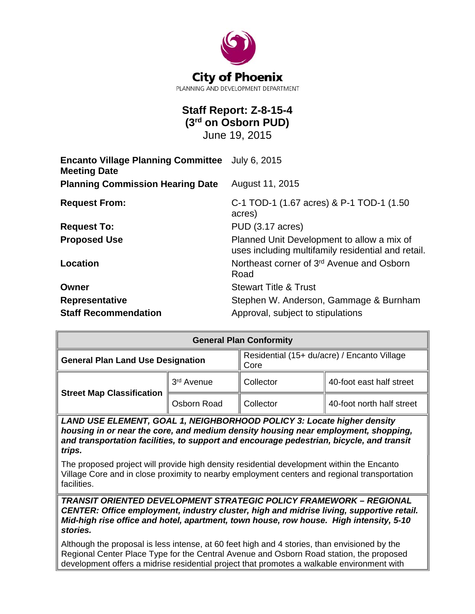

# **Staff Report: Z-8-15-4 (3rd on Osborn PUD)**

June 19, 2015

| <b>Encanto Village Planning Committee</b> July 6, 2015<br><b>Meeting Date</b> |                                                                                                  |  |
|-------------------------------------------------------------------------------|--------------------------------------------------------------------------------------------------|--|
| <b>Planning Commission Hearing Date</b>                                       | August 11, 2015                                                                                  |  |
| <b>Request From:</b>                                                          | C-1 TOD-1 (1.67 acres) & P-1 TOD-1 (1.50<br>acres)                                               |  |
| <b>Request To:</b>                                                            | <b>PUD (3.17 acres)</b>                                                                          |  |
| <b>Proposed Use</b>                                                           | Planned Unit Development to allow a mix of<br>uses including multifamily residential and retail. |  |
| Location                                                                      | Northeast corner of 3 <sup>rd</sup> Avenue and Osborn<br>Road                                    |  |
| Owner                                                                         | <b>Stewart Title &amp; Trust</b>                                                                 |  |
| <b>Representative</b>                                                         | Stephen W. Anderson, Gammage & Burnham                                                           |  |
| <b>Staff Recommendation</b>                                                   | Approval, subject to stipulations                                                                |  |

| <b>General Plan Conformity</b>           |             |                                                     |                           |  |
|------------------------------------------|-------------|-----------------------------------------------------|---------------------------|--|
| <b>General Plan Land Use Designation</b> |             | Residential (15+ du/acre) / Encanto Village<br>Core |                           |  |
| <b>Street Map Classification</b>         | 3rd Avenue  | Collector                                           | 40-foot east half street  |  |
|                                          | Osborn Road | Collector                                           | 40-foot north half street |  |

*LAND USE ELEMENT, GOAL 1, NEIGHBORHOOD POLICY 3: Locate higher density housing in or near the core, and medium density housing near employment, shopping, and transportation facilities, to support and encourage pedestrian, bicycle, and transit trips.*

The proposed project will provide high density residential development within the Encanto Village Core and in close proximity to nearby employment centers and regional transportation facilities.

*TRANSIT ORIENTED DEVELOPMENT STRATEGIC POLICY FRAMEWORK – REGIONAL CENTER: Office employment, industry cluster, high and midrise living, supportive retail. Mid-high rise office and hotel, apartment, town house, row house. High intensity, 5-10 stories.* 

Although the proposal is less intense, at 60 feet high and 4 stories, than envisioned by the Regional Center Place Type for the Central Avenue and Osborn Road station, the proposed development offers a midrise residential project that promotes a walkable environment with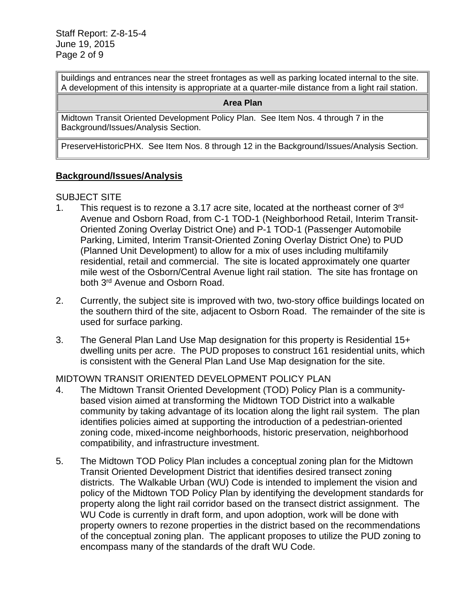buildings and entrances near the street frontages as well as parking located internal to the site. A development of this intensity is appropriate at a quarter-mile distance from a light rail station.

#### **Area Plan**

Midtown Transit Oriented Development Policy Plan. See Item Nos. 4 through 7 in the Background/Issues/Analysis Section.

PreserveHistoricPHX. See Item Nos. 8 through 12 in the Background/Issues/Analysis Section.

#### **Background/Issues/Analysis**

#### SUBJECT SITE

- 1. This request is to rezone a 3.17 acre site, located at the northeast corner of  $3<sup>rd</sup>$ Avenue and Osborn Road, from C-1 TOD-1 (Neighborhood Retail, Interim Transit-Oriented Zoning Overlay District One) and P-1 TOD-1 (Passenger Automobile Parking, Limited, Interim Transit-Oriented Zoning Overlay District One) to PUD (Planned Unit Development) to allow for a mix of uses including multifamily residential, retail and commercial. The site is located approximately one quarter mile west of the Osborn/Central Avenue light rail station. The site has frontage on both 3rd Avenue and Osborn Road.
- 2. Currently, the subject site is improved with two, two-story office buildings located on the southern third of the site, adjacent to Osborn Road. The remainder of the site is used for surface parking.
- 3. The General Plan Land Use Map designation for this property is Residential 15+ dwelling units per acre. The PUD proposes to construct 161 residential units, which is consistent with the General Plan Land Use Map designation for the site.

#### MIDTOWN TRANSIT ORIENTED DEVELOPMENT POLICY PLAN

- 4. The Midtown Transit Oriented Development (TOD) Policy Plan is a communitybased vision aimed at transforming the Midtown TOD District into a walkable community by taking advantage of its location along the light rail system. The plan identifies policies aimed at supporting the introduction of a pedestrian-oriented zoning code, mixed-income neighborhoods, historic preservation, neighborhood compatibility, and infrastructure investment.
- 5. The Midtown TOD Policy Plan includes a conceptual zoning plan for the Midtown Transit Oriented Development District that identifies desired transect zoning districts. The Walkable Urban (WU) Code is intended to implement the vision and policy of the Midtown TOD Policy Plan by identifying the development standards for property along the light rail corridor based on the transect district assignment. The WU Code is currently in draft form, and upon adoption, work will be done with property owners to rezone properties in the district based on the recommendations of the conceptual zoning plan. The applicant proposes to utilize the PUD zoning to encompass many of the standards of the draft WU Code.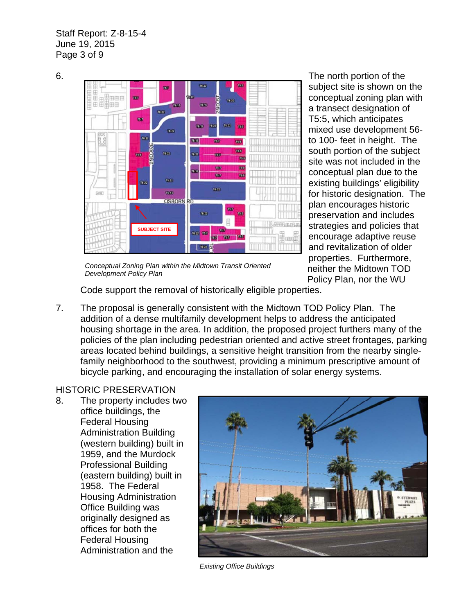Staff Report: Z-8-15-4 June 19, 2015 Page 3 of 9



subject site is shown on the conceptual zoning plan with a transect designation of T5:5, which anticipates mixed use development 56 to 100- feet in height. The south portion of the subject site was not included in the conceptual plan due to the existing buildings' eligibility for historic designation. The plan encourages historic preservation and includes strategies and policies that encourage adaptive reuse and revitalization of older properties. Furthermore, neither the Midtown TOD Policy Plan, nor the WU

*Conceptual Zoning Plan within the Midtown Transit Oriented Development Policy Plan*

Code support the removal of historically eligible properties.

7. The proposal is generally consistent with the Midtown TOD Policy Plan. The addition of a dense multifamily development helps to address the anticipated housing shortage in the area. In addition, the proposed project furthers many of the policies of the plan including pedestrian oriented and active street frontages, parking areas located behind buildings, a sensitive height transition from the nearby singlefamily neighborhood to the southwest, providing a minimum prescriptive amount of bicycle parking, and encouraging the installation of solar energy systems.

# HISTORIC PRESERVATION

8. The property includes two office buildings, the Federal Housing Administration Building (western building) built in 1959, and the Murdock Professional Building (eastern building) built in 1958. The Federal Housing Administration Office Building was originally designed as offices for both the Federal Housing Administration and the



*Existing Office Buildings*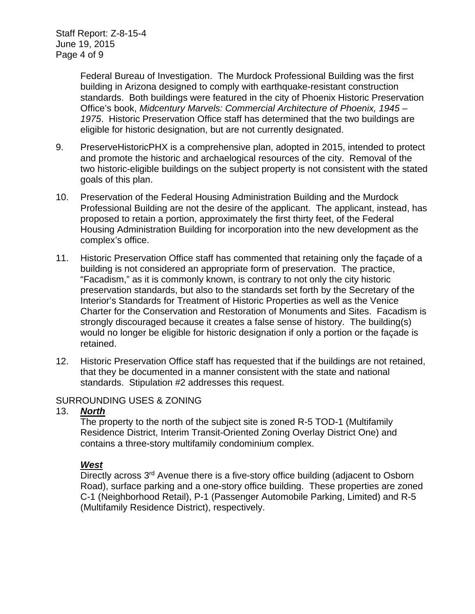Federal Bureau of Investigation. The Murdock Professional Building was the first building in Arizona designed to comply with earthquake-resistant construction standards. Both buildings were featured in the city of Phoenix Historic Preservation Office's book, *Midcentury Marvels: Commercial Architecture of Phoenix, 1945 – 1975*. Historic Preservation Office staff has determined that the two buildings are eligible for historic designation, but are not currently designated.

- 9. PreserveHistoricPHX is a comprehensive plan, adopted in 2015, intended to protect and promote the historic and archaelogical resources of the city. Removal of the two historic-eligible buildings on the subject property is not consistent with the stated goals of this plan.
- 10. Preservation of the Federal Housing Administration Building and the Murdock Professional Building are not the desire of the applicant. The applicant, instead, has proposed to retain a portion, approximately the first thirty feet, of the Federal Housing Administration Building for incorporation into the new development as the complex's office.
- 11. Historic Preservation Office staff has commented that retaining only the façade of a building is not considered an appropriate form of preservation. The practice, "Facadism," as it is commonly known, is contrary to not only the city historic preservation standards, but also to the standards set forth by the Secretary of the Interior's Standards for Treatment of Historic Properties as well as the Venice Charter for the Conservation and Restoration of Monuments and Sites. Facadism is strongly discouraged because it creates a false sense of history. The building(s) would no longer be eligible for historic designation if only a portion or the façade is retained.
- 12. Historic Preservation Office staff has requested that if the buildings are not retained, that they be documented in a manner consistent with the state and national standards. Stipulation #2 addresses this request.

#### SURROUNDING USES & ZONING

#### 13. *North*

The property to the north of the subject site is zoned R-5 TOD-1 (Multifamily Residence District, Interim Transit-Oriented Zoning Overlay District One) and contains a three-story multifamily condominium complex.

#### *West*

Directly across 3<sup>rd</sup> Avenue there is a five-story office building (adjacent to Osborn Road), surface parking and a one-story office building. These properties are zoned C-1 (Neighborhood Retail), P-1 (Passenger Automobile Parking, Limited) and R-5 (Multifamily Residence District), respectively.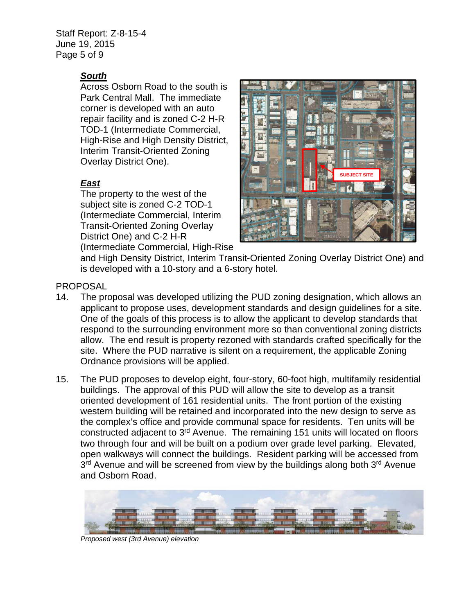Staff Report: Z-8-15-4 June 19, 2015 Page 5 of 9

## *South*

Across Osborn Road to the south is Park Central Mall. The immediate corner is developed with an auto repair facility and is zoned C-2 H-R TOD-1 (Intermediate Commercial, High-Rise and High Density District, Interim Transit-Oriented Zoning Overlay District One).

# *East*

The property to the west of the subject site is zoned C-2 TOD-1 (Intermediate Commercial, Interim Transit-Oriented Zoning Overlay District One) and C-2 H-R (Intermediate Commercial, High-Rise



and High Density District, Interim Transit-Oriented Zoning Overlay District One) and is developed with a 10-story and a 6-story hotel.

## PROPOSAL

- 14. The proposal was developed utilizing the PUD zoning designation, which allows an applicant to propose uses, development standards and design guidelines for a site. One of the goals of this process is to allow the applicant to develop standards that respond to the surrounding environment more so than conventional zoning districts allow. The end result is property rezoned with standards crafted specifically for the site. Where the PUD narrative is silent on a requirement, the applicable Zoning Ordnance provisions will be applied.
- 15. The PUD proposes to develop eight, four-story, 60-foot high, multifamily residential buildings. The approval of this PUD will allow the site to develop as a transit oriented development of 161 residential units. The front portion of the existing western building will be retained and incorporated into the new design to serve as the complex's office and provide communal space for residents. Ten units will be constructed adjacent to 3rd Avenue. The remaining 151 units will located on floors two through four and will be built on a podium over grade level parking. Elevated, open walkways will connect the buildings. Resident parking will be accessed from  $3<sup>rd</sup>$  Avenue and will be screened from view by the buildings along both  $3<sup>rd</sup>$  Avenue and Osborn Road.



*Proposed west (3rd Avenue) elevation*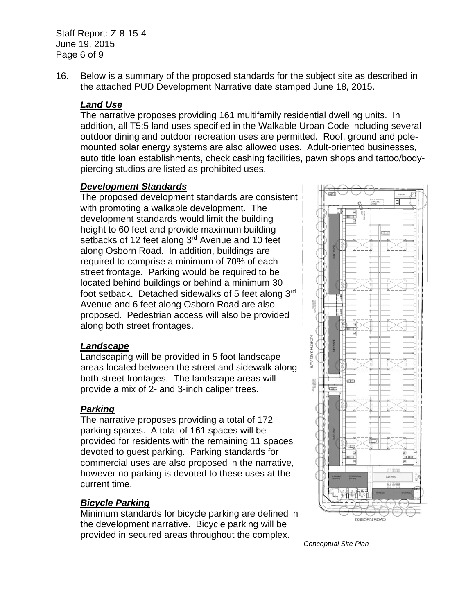Staff Report: Z-8-15-4 June 19, 2015 Page 6 of 9

16. Below is a summary of the proposed standards for the subject site as described in the attached PUD Development Narrative date stamped June 18, 2015.

#### *Land Use*

The narrative proposes providing 161 multifamily residential dwelling units. In addition, all T5:5 land uses specified in the Walkable Urban Code including several outdoor dining and outdoor recreation uses are permitted. Roof, ground and polemounted solar energy systems are also allowed uses. Adult-oriented businesses, auto title loan establishments, check cashing facilities, pawn shops and tattoo/bodypiercing studios are listed as prohibited uses.

#### *Development Standards*

The proposed development standards are consistent with promoting a walkable development. The development standards would limit the building height to 60 feet and provide maximum building setbacks of 12 feet along 3<sup>rd</sup> Avenue and 10 feet along Osborn Road. In addition, buildings are required to comprise a minimum of 70% of each street frontage. Parking would be required to be located behind buildings or behind a minimum 30 foot setback. Detached sidewalks of 5 feet along 3rd Avenue and 6 feet along Osborn Road are also proposed. Pedestrian access will also be provided along both street frontages.

#### *Landscape*

Landscaping will be provided in 5 foot landscape areas located between the street and sidewalk along both street frontages. The landscape areas will provide a mix of 2- and 3-inch caliper trees.

## *Parking*

The narrative proposes providing a total of 172 parking spaces. A total of 161 spaces will be provided for residents with the remaining 11 spaces devoted to guest parking. Parking standards for commercial uses are also proposed in the narrative, however no parking is devoted to these uses at the current time.

#### *Bicycle Parking*

Minimum standards for bicycle parking are defined in the development narrative. Bicycle parking will be provided in secured areas throughout the complex.



*Conceptual Site Plan*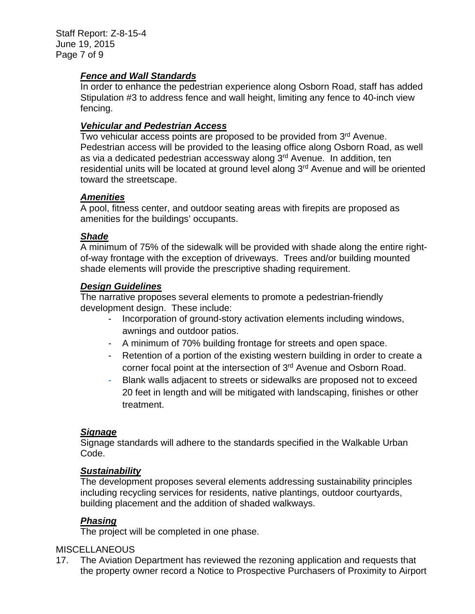Staff Report: Z-8-15-4 June 19, 2015 Page 7 of 9

#### *Fence and Wall Standards*

In order to enhance the pedestrian experience along Osborn Road, staff has added Stipulation #3 to address fence and wall height, limiting any fence to 40-inch view fencing.

#### *Vehicular and Pedestrian Access*

Two vehicular access points are proposed to be provided from 3rd Avenue. Pedestrian access will be provided to the leasing office along Osborn Road, as well as via a dedicated pedestrian accessway along 3<sup>rd</sup> Avenue. In addition, ten residential units will be located at ground level along 3<sup>rd</sup> Avenue and will be oriented toward the streetscape.

#### *Amenities*

A pool, fitness center, and outdoor seating areas with firepits are proposed as amenities for the buildings' occupants.

#### *Shade*

A minimum of 75% of the sidewalk will be provided with shade along the entire rightof-way frontage with the exception of driveways. Trees and/or building mounted shade elements will provide the prescriptive shading requirement.

#### *Design Guidelines*

The narrative proposes several elements to promote a pedestrian-friendly development design. These include:

- Incorporation of ground-story activation elements including windows, awnings and outdoor patios.
- A minimum of 70% building frontage for streets and open space.
- Retention of a portion of the existing western building in order to create a corner focal point at the intersection of 3rd Avenue and Osborn Road.
- Blank walls adjacent to streets or sidewalks are proposed not to exceed 20 feet in length and will be mitigated with landscaping, finishes or other treatment.

## *Signage*

Signage standards will adhere to the standards specified in the Walkable Urban Code.

#### *Sustainability*

The development proposes several elements addressing sustainability principles including recycling services for residents, native plantings, outdoor courtyards, building placement and the addition of shaded walkways.

## *Phasing*

The project will be completed in one phase.

## **MISCELLANEOUS**

17. The Aviation Department has reviewed the rezoning application and requests that the property owner record a Notice to Prospective Purchasers of Proximity to Airport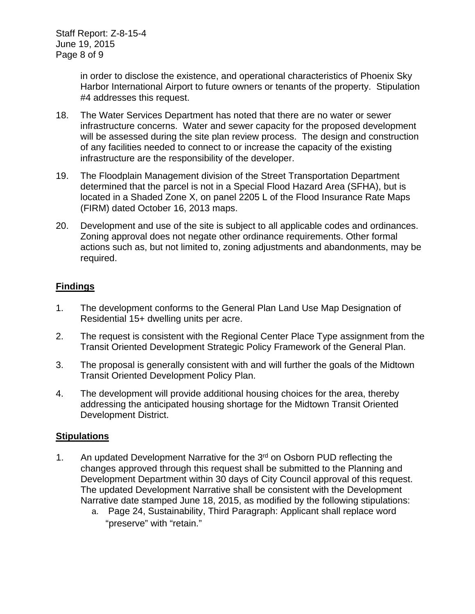in order to disclose the existence, and operational characteristics of Phoenix Sky Harbor International Airport to future owners or tenants of the property. Stipulation #4 addresses this request.

- 18. The Water Services Department has noted that there are no water or sewer infrastructure concerns. Water and sewer capacity for the proposed development will be assessed during the site plan review process. The design and construction of any facilities needed to connect to or increase the capacity of the existing infrastructure are the responsibility of the developer.
- 19. The Floodplain Management division of the Street Transportation Department determined that the parcel is not in a Special Flood Hazard Area (SFHA), but is located in a Shaded Zone X, on panel 2205 L of the Flood Insurance Rate Maps (FIRM) dated October 16, 2013 maps.
- 20. Development and use of the site is subject to all applicable codes and ordinances. Zoning approval does not negate other ordinance requirements. Other formal actions such as, but not limited to, zoning adjustments and abandonments, may be required.

# **Findings**

- 1. The development conforms to the General Plan Land Use Map Designation of Residential 15+ dwelling units per acre.
- 2. The request is consistent with the Regional Center Place Type assignment from the Transit Oriented Development Strategic Policy Framework of the General Plan.
- 3. The proposal is generally consistent with and will further the goals of the Midtown Transit Oriented Development Policy Plan.
- 4. The development will provide additional housing choices for the area, thereby addressing the anticipated housing shortage for the Midtown Transit Oriented Development District.

## **Stipulations**

- 1. An updated Development Narrative for the 3<sup>rd</sup> on Osborn PUD reflecting the changes approved through this request shall be submitted to the Planning and Development Department within 30 days of City Council approval of this request. The updated Development Narrative shall be consistent with the Development Narrative date stamped June 18, 2015, as modified by the following stipulations:
	- a. Page 24, Sustainability, Third Paragraph: Applicant shall replace word "preserve" with "retain."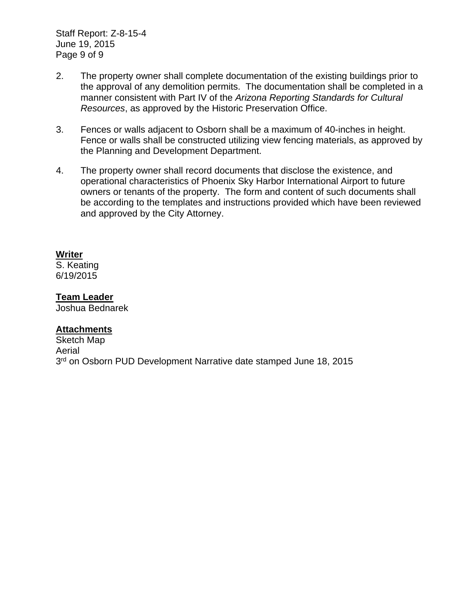Staff Report: Z-8-15-4 June 19, 2015 Page 9 of 9

- 2. The property owner shall complete documentation of the existing buildings prior to the approval of any demolition permits. The documentation shall be completed in a manner consistent with Part IV of the *Arizona Reporting Standards for Cultural Resources*, as approved by the Historic Preservation Office.
- 3. Fences or walls adjacent to Osborn shall be a maximum of 40-inches in height. Fence or walls shall be constructed utilizing view fencing materials, as approved by the Planning and Development Department.
- 4. The property owner shall record documents that disclose the existence, and operational characteristics of Phoenix Sky Harbor International Airport to future owners or tenants of the property. The form and content of such documents shall be according to the templates and instructions provided which have been reviewed and approved by the City Attorney.

#### **Writer**

S. Keating 6/19/2015

#### **Team Leader**

Joshua Bednarek

#### **Attachments**

Sketch Map Aerial 3<sup>rd</sup> on Osborn PUD Development Narrative date stamped June 18, 2015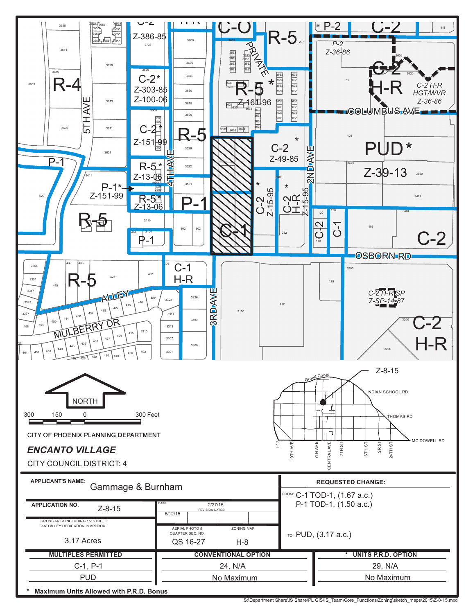